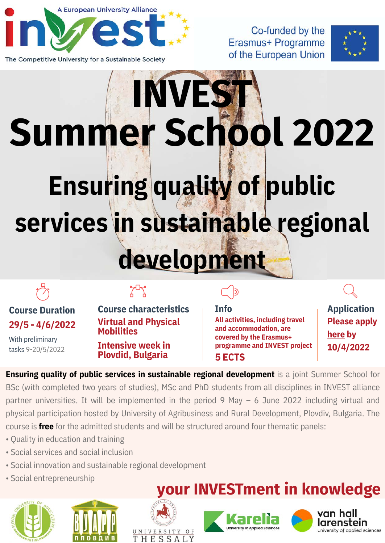

The Competitive University for a Sustainable Society

Co-funded by the Erasmus+ Programme of the European Union



# **Ensuring quality of public services in sustainable regional development INVES Summer School 2022**

## **29/5 - 4/6/2022**

With preliminary tasks 9-20/5/2022

### $7 - 7$

**Course Duration Course characteristics Info Application Virtual and Physical Mobilities**

> **Intensive week in Plovdid, Bulgaria**

**5 ECTS All activities, including travel and accommodation, are covered by the Erasmus+ programme and INVEST project** **[Please apply](https://www.invest-alliance.eu/en/Home/FormRegistration?code=2) here by 10/4/2022**

**Ensuring quality of public services in sustainable regional development** is a joint Summer School for BSc (with completed two years of studies), MSc and PhD students from all disciplines in INVEST alliance partner universities. It will be implemented in the period 9 May – 6 June 2022 including virtual and physical participation hosted by University of Agribusiness and Rural Development, Plovdiv, Bulgaria. The course is **free** for the admitted students and will be structured around four thematic panels:

- Quality in education and training
- Social services and social inclusion
- Social innovation and sustainable regional development
- Social entrepreneurship







### **your INVESTment in knowledge**



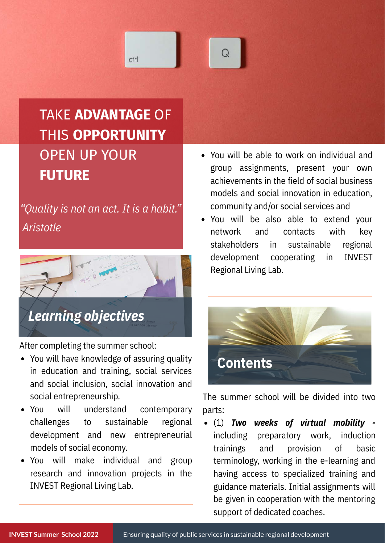## ctrl

### TAKE **ADVANTAGE** OF THIS **OPPORTUNITY** OPEN UP YOUR **FUTURE**

*"Quality is not an act. It is a habit." Aristotle*



After completing the summer school:

- You will have knowledge of assuring quality in education and training, social services and social inclusion, social innovation and social entrepreneurship.
- You will understand contemporary challenges to sustainable regional development and new entrepreneurial models of social economy.
- You will make individual and group research and innovation projects in the INVEST Regional Living Lab.
- You will be able to work on individual and group assignments, present your own achievements in the field of social business models and social innovation in education, community and/or social services and
- You will be also able to extend your network and contacts with key stakeholders in sustainable regional development cooperating in INVEST Regional Living Lab.



The summer school will be divided into two parts:

(1) *Two weeks of virtual mobility*  including preparatory work, induction trainings and provision of basic terminology, working in the e-learning and having access to specialized training and guidance materials. Initial assignments will be given in cooperation with the mentoring support of dedicated coaches.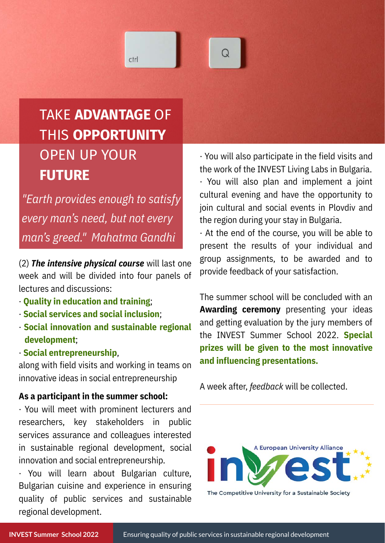### TAKE **ADVANTAGE** OF THIS **OPPORTUNITY** OPEN UP YOUR **FUTURE**

ctrl

*"Earth provides enough to satisfy every man's need, but not every man's greed." Mahatma Gandhi*

(2) *The intensive physical course* will last one week and will be divided into four panels of lectures and discussions:

- · **Quality in education and training**;
- · **Social services and social inclusion**;
- · **Social innovation and sustainable regional development**;
- · **Social entrepreneurship**,

along with field visits and working in teams on innovative ideas in social entrepreneurship

#### **As a participant in the summer school:**

· You will meet with prominent lecturers and researchers, key stakeholders in public services assurance and colleagues interested in sustainable regional development, social innovation and social entrepreneurship.

· You will learn about Bulgarian culture, Bulgarian cuisine and experience in ensuring quality of public services and sustainable regional development.

· You will also participate in the field visits and the work of the INVEST Living Labs in Bulgaria. · You will also plan and implement a joint

cultural evening and have the opportunity to join cultural and social events in Plovdiv and the region during your stay in Bulgaria.

· At the end of the course, you will be able to present the results of your individual and group assignments, to be awarded and to provide feedback of your satisfaction.

The summer school will be concluded with an **Awarding ceremony** presenting your ideas and getting evaluation by the jury members of the INVEST Summer School 2022. **Special prizes will be given to the most innovative and influencing presentations.**

A week after, *feedback* will be collected.



The Competitive University for a Sustainable Society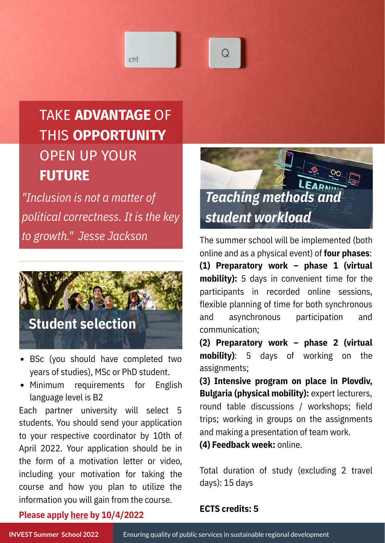

ctrl

*"Inclusion is not a matter of political correctness. It is the key to growth." Jesse Jackson*



- BSc (you should have completed two years of studies), MSc or PhD student.
- Minimum requirements for English language level is B2

Each partner university will select 5 students. You should send your application to your respective coordinator by 10th of April 2022. Your application should be in the form of a motivation letter or video, including your motivation for taking the course and how you plan to utilize the information you will gain from the course.



The summer school will be implemented (both online and as a physical event) of **four phases**: **(1) Preparatory work – phase 1 (virtual mobility):** 5 days in convenient time for the participants in recorded online sessions, flexible planning of time for both synchronous and asynchronous participation and communication;

**(2) Preparatory work – phase 2 (virtual mobility)**: 5 days of working on the assignments;

**(3) Intensive program on place in Plovdiv, Bulgaria (physical mobility):** expert lecturers, round table discussions / workshops; field trips; working in groups on the assignments and making a presentation of team work.

**(4) Feedback week:** online.

Total duration of study (excluding 2 travel days): 15 days

#### **[Please apply here by 10/4/2022](https://www.invest-alliance.eu/en/Home/FormRegistration?code=2)**

**ECTS credits: 5**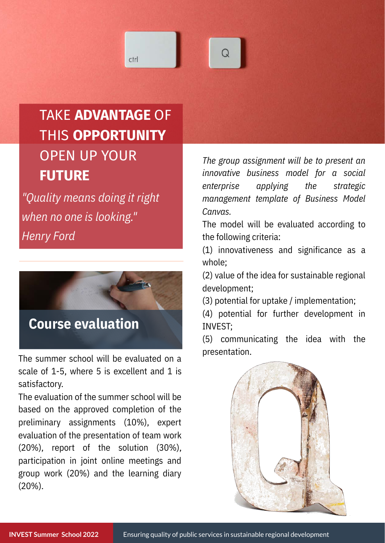### TAKE **ADVANTAGE** OF THIS **OPPORTUNITY** OPEN UP YOUR **FUTURE**

ctrl

*"Quality means doing it right when no one is looking." Henry Ford*



The summer school will be evaluated on a scale of 1-5, where 5 is excellent and 1 is satisfactory.

The evaluation of the summer school will be based on the approved completion of the preliminary assignments (10%), expert evaluation of the presentation of team work (20%), report of the solution (30%), participation in joint online meetings and group work (20%) and the learning diary (20%).

*The group assignment will be to present an innovative business model for a social enterprise applying the strategic management template of Business Model Canvas.*

The model will be evaluated according to the following criteria:

(1) innovativeness and significance as a whole;

(2) value of the idea for sustainable regional development;

(3) potential for uptake / implementation;

(4) potential for further development in INVEST;

(5) communicating the idea with the presentation.

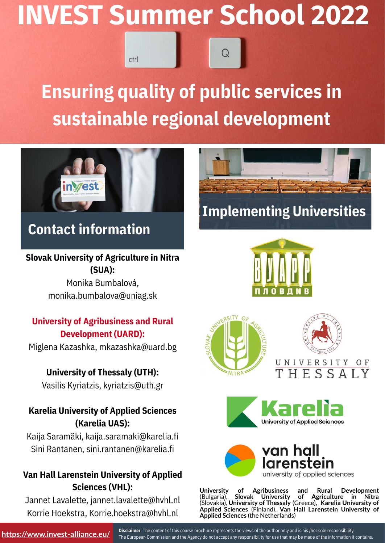## **INVEST Summer School 2022** ctrl

## **Ensuring quality of public services in sustainable regional development**



### **Contact information**

#### **Slovak University of Agriculture in Nitra (SUA):**

Monika Bumbalová, monika.bumbalova@uniag.sk

#### **University of Agribusiness and Rural Development (UARD):**

Miglena Kazashka, mkazashka@uard.bg

### **University of Thessaly (UTH):**

Vasilis Kyriatzis, kyriatzis@uth.gr

### **Karelia University of Applied Sciences (Karelia UAS):**

Kaija Saramäki, kaija.saramaki@karelia.fi Sini Rantanen, sini.rantanen@karelia.fi

#### **Van Hall Larenstein University of Applied Sciences (VHL):**

Jannet Lavalette, jannet.lavalette@hvhl.nl Korrie Hoekstra, Korrie.hoekstra@hvhl.nl



### **Implementing Universities**











**University of Agribusiness and Rural Development** of Agriculture in Nitra (Slovakia), **University of Thessaly** (Greece), **Karelia University of Applied Sciences** (Finland), **Van Hall Larenstein University of Applied Sciences** (the Netherlands)

**Disclaimer**: The content of this course brochure represents the views of the author only and is his /her sole responsibility. The European Commission and the Agency do not accept any responsibility for use that may be made of the information it contains.